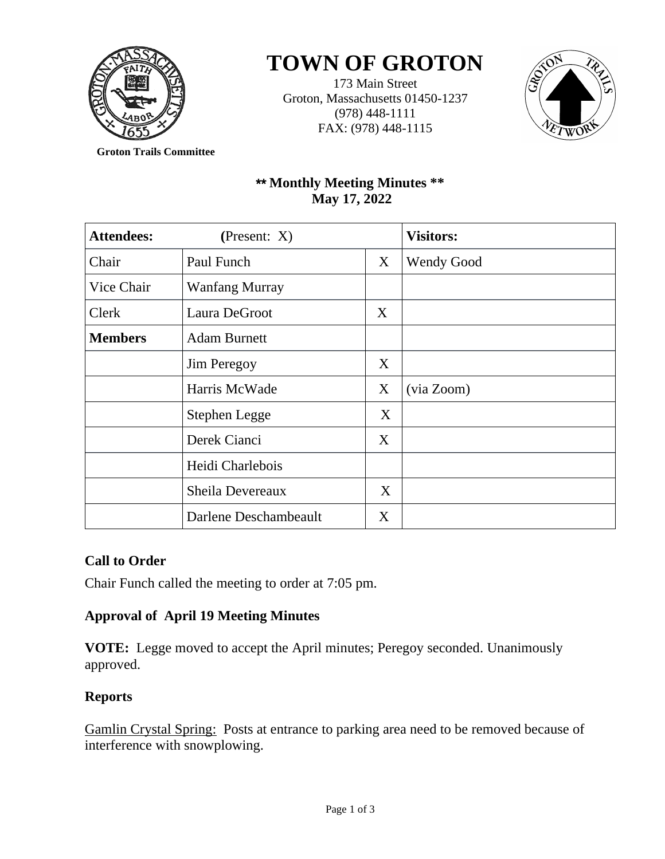

# **TOWN OF GROTON**

173 Main Street Groton, Massachusetts 01450-1237 (978) 448-1111 FAX: (978) 448-1115



**Groton Trails Committee**

## \*\* **Monthly Meeting Minutes \*\* May 17, 2022**

| <b>Attendees:</b> | (Present: $X$ )       |   | <b>Visitors:</b>  |
|-------------------|-----------------------|---|-------------------|
| Chair             | Paul Funch            | X | <b>Wendy Good</b> |
| Vice Chair        | <b>Wanfang Murray</b> |   |                   |
| Clerk             | Laura DeGroot         | X |                   |
| <b>Members</b>    | <b>Adam Burnett</b>   |   |                   |
|                   | Jim Peregoy           | X |                   |
|                   | Harris McWade         | X | (via Zoom)        |
|                   | Stephen Legge         | X |                   |
|                   | Derek Cianci          | X |                   |
|                   | Heidi Charlebois      |   |                   |
|                   | Sheila Devereaux      | X |                   |
|                   | Darlene Deschambeault | X |                   |

#### **Call to Order**

Chair Funch called the meeting to order at 7:05 pm.

## **Approval of April 19 Meeting Minutes**

**VOTE:** Legge moved to accept the April minutes; Peregoy seconded. Unanimously approved.

## **Reports**

Gamlin Crystal Spring: Posts at entrance to parking area need to be removed because of interference with snowplowing.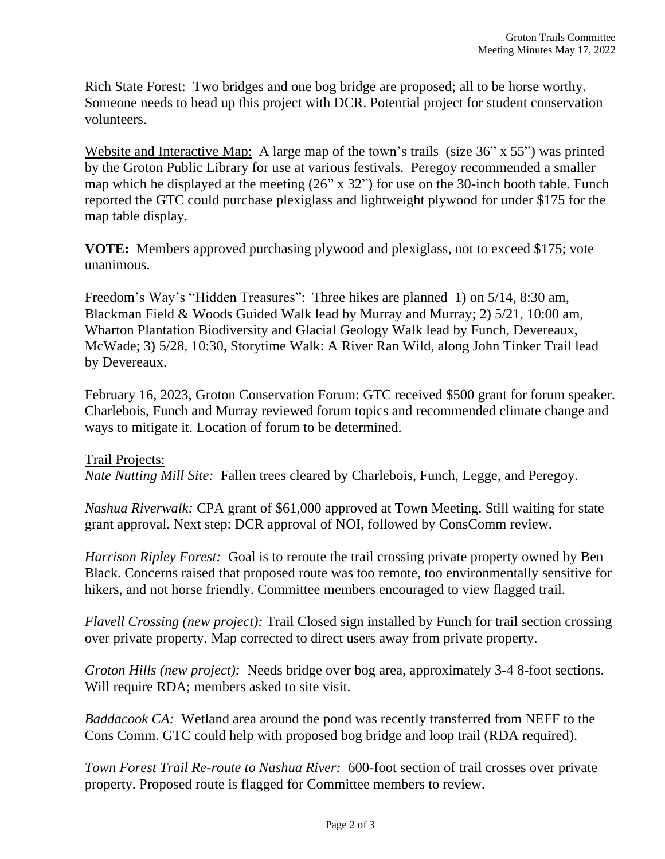Rich State Forest: Two bridges and one bog bridge are proposed; all to be horse worthy. Someone needs to head up this project with DCR. Potential project for student conservation volunteers.

Website and Interactive Map: A large map of the town's trails (size 36" x 55") was printed by the Groton Public Library for use at various festivals. Peregoy recommended a smaller map which he displayed at the meeting (26" x 32") for use on the 30-inch booth table. Funch reported the GTC could purchase plexiglass and lightweight plywood for under \$175 for the map table display.

**VOTE:** Members approved purchasing plywood and plexiglass, not to exceed \$175; vote unanimous.

Freedom's Way's "Hidden Treasures": Three hikes are planned 1) on 5/14, 8:30 am, Blackman Field & Woods Guided Walk lead by Murray and Murray; 2) 5/21, 10:00 am, Wharton Plantation Biodiversity and Glacial Geology Walk lead by Funch, Devereaux, McWade; 3) 5/28, 10:30, Storytime Walk: A River Ran Wild, along John Tinker Trail lead by Devereaux.

February 16, 2023, Groton Conservation Forum: GTC received \$500 grant for forum speaker. Charlebois, Funch and Murray reviewed forum topics and recommended climate change and ways to mitigate it. Location of forum to be determined.

Trail Projects: *Nate Nutting Mill Site:* Fallen trees cleared by Charlebois, Funch, Legge, and Peregoy.

*Nashua Riverwalk:* CPA grant of \$61,000 approved at Town Meeting. Still waiting for state grant approval. Next step: DCR approval of NOI, followed by ConsComm review.

*Harrison Ripley Forest:* Goal is to reroute the trail crossing private property owned by Ben Black. Concerns raised that proposed route was too remote, too environmentally sensitive for hikers, and not horse friendly. Committee members encouraged to view flagged trail.

*Flavell Crossing (new project):* Trail Closed sign installed by Funch for trail section crossing over private property. Map corrected to direct users away from private property.

*Groton Hills (new project):* Needs bridge over bog area, approximately 3-4 8-foot sections. Will require RDA; members asked to site visit.

*Baddacook CA:* Wetland area around the pond was recently transferred from NEFF to the Cons Comm. GTC could help with proposed bog bridge and loop trail (RDA required).

*Town Forest Trail Re-route to Nashua River:* 600-foot section of trail crosses over private property. Proposed route is flagged for Committee members to review.